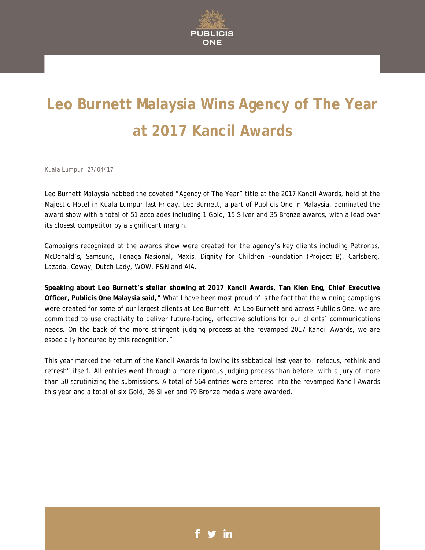

# **Leo Burnett Malaysia Wins Agency of The Year at 2017 Kancil Awards**

Kuala Lumpur, 27/04/17

Leo Burnett Malaysia nabbed the coveted "Agency of The Year" title at the 2017 Kancil Awards, held at the Majestic Hotel in Kuala Lumpur last Friday. Leo Burnett, a part of Publicis One in Malaysia, dominated the award show with a total of 51 accolades including 1 Gold, 15 Silver and 35 Bronze awards, with a lead over its closest competitor by a significant margin.

Campaigns recognized at the awards show were created for the agency's key clients including Petronas, McDonald's, Samsung, Tenaga Nasional, Maxis, Dignity for Children Foundation (Project B), Carlsberg, Lazada, Coway, Dutch Lady, WOW, F&N and AIA.

**Speaking about Leo Burnett's stellar showing at 2017 Kancil Awards, Tan Kien Eng, Chief Executive Officer, Publicis One Malaysia said,"** What I have been most proud of is the fact that the winning campaigns were created for some of our largest clients at Leo Burnett. At Leo Burnett and across Publicis One, we are committed to use creativity to deliver future-facing, effective solutions for our clients' communications needs. On the back of the more stringent judging process at the revamped 2017 Kancil Awards, we are especially honoured by this recognition."

This year marked the return of the Kancil Awards following its sabbatical last year to "refocus, rethink and refresh" itself. All entries went through a more rigorous judging process than before, with a jury of more than 50 scrutinizing the submissions. A total of 564 entries were entered into the revamped Kancil Awards this year and a total of six Gold, 26 Silver and 79 Bronze medals were awarded.